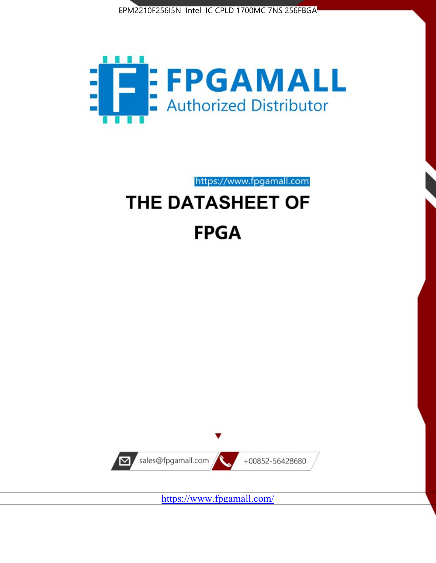



https://www.fpgamall.com

# THE DATASHEET OF **FPGA**



https://www.fpgamall.com/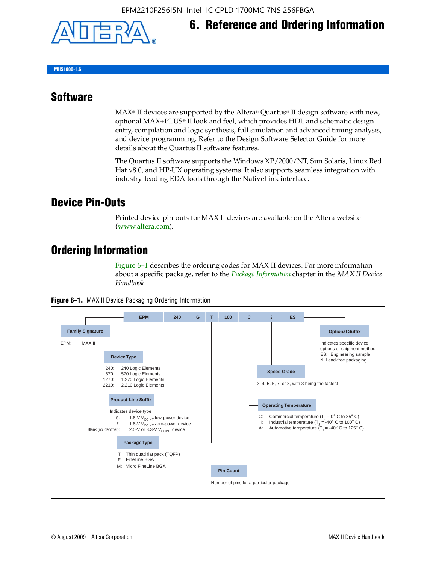

## **6. Reference and Ordering Information**

**MII51006-1.6**

#### **Software**

 $MAX<sup>®</sup>$  II devices are supported by the Altera® Quartus<sup>®</sup> II design software with new, optional MAX+PLUS® II look and feel, which provides HDL and schematic design entry, compilation and logic synthesis, full simulation and advanced timing analysis, and device programming. Refer to the Design Software Selector Guide for more details about the Quartus II software features.

The Quartus II software supports the Windows XP/2000/NT, Sun Solaris, Linux Red Hat v8.0, and HP-UX operating systems. It also supports seamless integration with industry-leading EDA tools through the NativeLink interface.

#### **Device Pin-Outs**

Printed device pin-outs for MAX II devices are available on the Altera website ([www.altera.com](http://www.altera.com/)).

#### **Ordering Information**

Figure 6–1 describes the ordering codes for MAX II devices. For more information about a specific package, refer to the *[Package Information](http://www.altera.com/literature/hb/max2/max2_mii51007.pdf)* chapter in the *MAX II Device Handbook*.



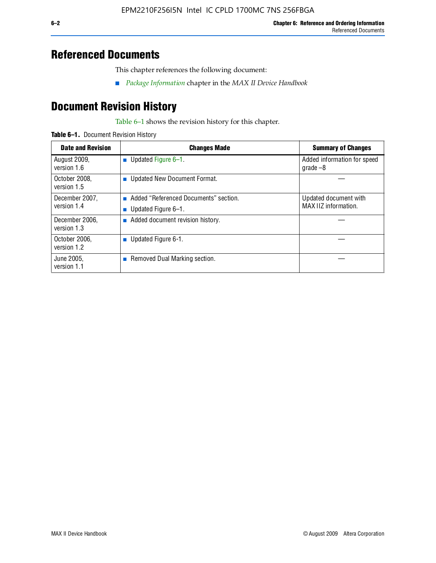#### **Referenced Documents**

This chapter references the following document:

■ *[Package Information](http://www.altera.com/literature/hb/max2/max2_mii51007.pdf)* chapter in the *MAX II Device Handbook*

## **Document Revision History**

Table 6–1 shows the revision history for this chapter.

| Table 6-1. Document Revision History |
|--------------------------------------|
|                                      |

| <b>Date and Revision</b>      | <b>Changes Made</b>                                          | <b>Summary of Changes</b>                     |
|-------------------------------|--------------------------------------------------------------|-----------------------------------------------|
| August 2009,<br>version 1.6   | Updated Figure 6-1.<br>п                                     | Added information for speed<br>grade $-8$     |
| October 2008,<br>version 1.5  | Updated New Document Format.                                 |                                               |
| December 2007,<br>version 1.4 | Added "Referenced Documents" section.<br>Updated Figure 6-1. | Updated document with<br>MAX IIZ information. |
| December 2006,<br>version 1.3 | Added document revision history.                             |                                               |
| October 2006.<br>version 1.2  | Updated Figure 6-1.                                          |                                               |
| June 2005.<br>version 1.1     | $\blacksquare$ Removed Dual Marking section.                 |                                               |